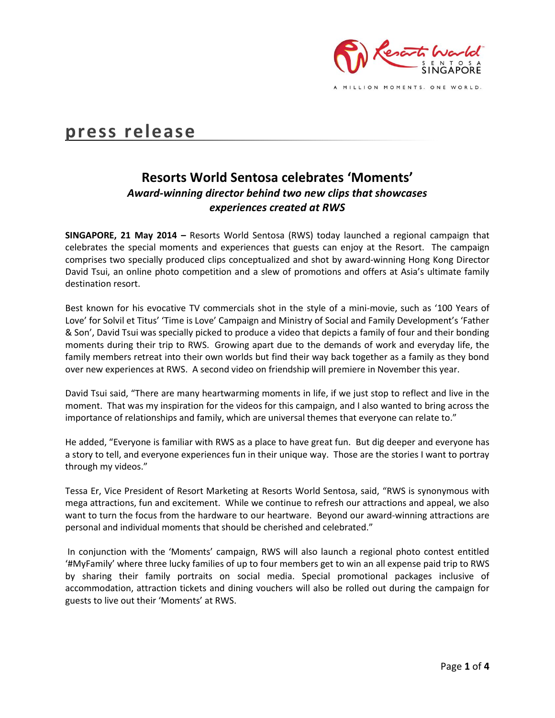

MILLION MOMENTS. ONE WORLD.

# **press release**

# **Resorts World Sentosa celebrates 'Moments'** *Award-winning director behind two new clips that showcases experiences created at RWS*

**SINGAPORE, 21 May 2014 –** Resorts World Sentosa (RWS) today launched a regional campaign that celebrates the special moments and experiences that guests can enjoy at the Resort. The campaign comprises two specially produced clips conceptualized and shot by award-winning Hong Kong Director David Tsui, an online photo competition and a slew of promotions and offers at Asia's ultimate family destination resort.

Best known for his evocative TV commercials shot in the style of a mini-movie, such as '100 Years of Love' for Solvil et Titus' 'Time is Love' Campaign and Ministry of Social and Family Development's 'Father & Son', David Tsui was specially picked to produce a video that depicts a family of four and their bonding moments during their trip to RWS. Growing apart due to the demands of work and everyday life, the family members retreat into their own worlds but find their way back together as a family as they bond over new experiences at RWS. A second video on friendship will premiere in November this year.

David Tsui said, "There are many heartwarming moments in life, if we just stop to reflect and live in the moment. That was my inspiration for the videos for this campaign, and I also wanted to bring across the importance of relationships and family, which are universal themes that everyone can relate to."

He added, "Everyone is familiar with RWS as a place to have great fun. But dig deeper and everyone has a story to tell, and everyone experiences fun in their unique way. Those are the stories I want to portray through my videos."

Tessa Er, Vice President of Resort Marketing at Resorts World Sentosa, said, "RWS is synonymous with mega attractions, fun and excitement. While we continue to refresh our attractions and appeal, we also want to turn the focus from the hardware to our heartware. Beyond our award-winning attractions are personal and individual moments that should be cherished and celebrated."

In conjunction with the 'Moments' campaign, RWS will also launch a regional photo contest entitled '#MyFamily' where three lucky families of up to four members get to win an all expense paid trip to RWS by sharing their family portraits on social media. Special promotional packages inclusive of accommodation, attraction tickets and dining vouchers will also be rolled out during the campaign for guests to live out their 'Moments' at RWS.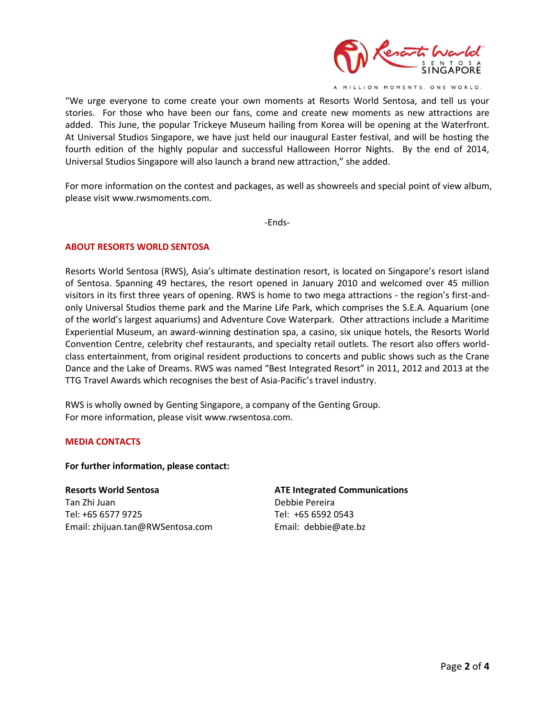

A MILLION MOMENTS. ONE WORLD.

"We urge everyone to come create your own moments at Resorts World Sentosa, and tell us your stories. For those who have been our fans, come and create new moments as new attractions are added. This June, the popular Trickeye Museum hailing from Korea will be opening at the Waterfront. At Universal Studios Singapore, we have just held our inaugural Easter festival, and will be hosting the fourth edition of the highly popular and successful Halloween Horror Nights. By the end of 2014, Universal Studios Singapore will also launch a brand new attraction," she added.

For more information on the contest and packages, as well as showreels and special point of view album, please visit [www.rwsmoments.com.](http://www.rwsmoments.com/)

-Ends-

### **ABOUT RESORTS WORLD SENTOSA**

Resorts World Sentosa (RWS), Asia's ultimate destination resort, is located on Singapore's resort island of Sentosa. Spanning 49 hectares, the resort opened in January 2010 and welcomed over 45 million visitors in its first three years of opening. RWS is home to two mega attractions - the region's first-andonly Universal Studios theme park and the Marine Life Park, which comprises the S.E.A. Aquarium (one of the world's largest aquariums) and Adventure Cove Waterpark. Other attractions include a Maritime Experiential Museum, an award-winning destination spa, a casino, six unique hotels, the Resorts World Convention Centre, celebrity chef restaurants, and specialty retail outlets. The resort also offers worldclass entertainment, from original resident productions to concerts and public shows such as the Crane Dance and the Lake of Dreams. RWS was named "Best Integrated Resort" in 2011, 2012 and 2013 at the TTG Travel Awards which recognises the best of Asia-Pacific's travel industry.

RWS is wholly owned by Genting Singapore, a company of the Genting Group. For more information, please visi[t www.rwsentosa.com.](http://www.rwsentosa.com/)

### **MEDIA CONTACTS**

**For further information, please contact:**

**Resorts World Sentosa**  Tan Zhi Juan Tel: +65 6577 9725 Email: [zhijuan.tan@RWSentosa.com](mailto:zhijuan.tan@RWSentosa.com)

### **ATE Integrated Communications**

Debbie Pereira Tel: +65 6592 0543 Email: [debbie@ate.bz](mailto:debbie@ate.bz)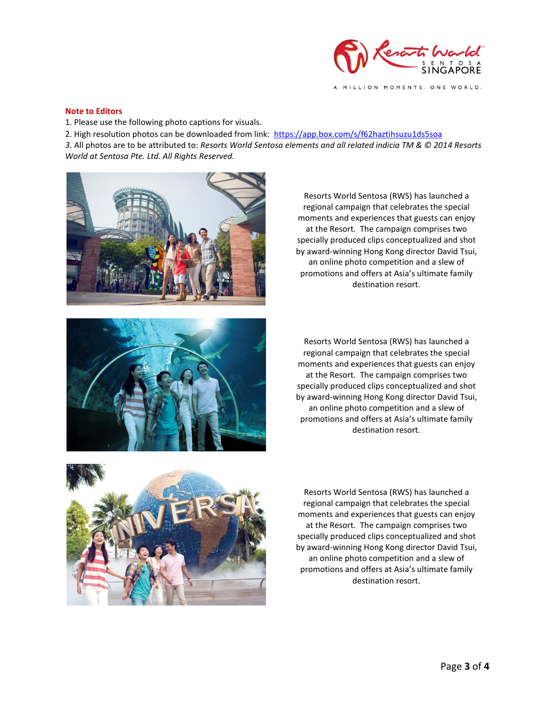

MILLION MOMENTS. ONE WORLD.

#### **Note to Editors**

1. Please use the following photo captions for visuals.

2. High resolution photos can be downloaded from link: <https://app.box.com/s/f62haztihsuzu1ds5soa>

*3.* All photos are to be attributed to: *Resorts World Sentosa elements and all related indicia TM & © 2014 Resorts World at Sentosa Pte. Ltd. All Rights Reserved.* 



regional campaign that celebrates the special moments and experiences that guests can enjoy at the Resort. The campaign comprises two specially produced clips conceptualized and shot by award-winning Hong Kong director David Tsui, an online photo competition and a slew of promotions and offers at Asia's ultimate family destination resort.

Resorts World Sentosa (RWS) has launched a



Resorts World Sentosa (RWS) has launched a regional campaign that celebrates the special moments and experiences that guests can enjoy at the Resort. The campaign comprises two specially produced clips conceptualized and shot by award-winning Hong Kong director David Tsui, an online photo competition and a slew of promotions and offers at Asia's ultimate family destination resort.



Resorts World Sentosa (RWS) has launched a regional campaign that celebrates the special moments and experiences that guests can enjoy at the Resort. The campaign comprises two specially produced clips conceptualized and shot by award-winning Hong Kong director David Tsui, an online photo competition and a slew of promotions and offers at Asia's ultimate family destination resort.